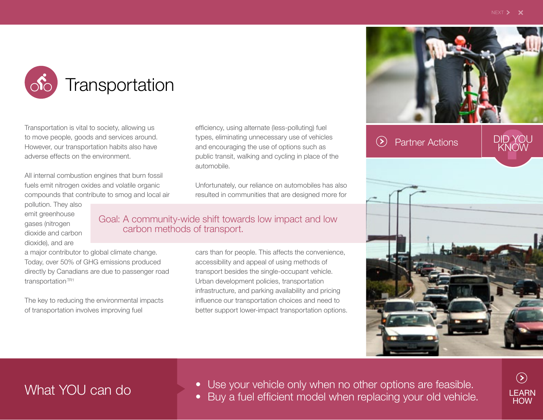DID YOU

**Transportation** 

Transportation is vital to society, allowing us to move people, goods and services around. However, our transportation habits also have adverse effects on the environment.

All internal combustion engines that burn fossil fuels emit nitrogen oxides and volatile organic compounds that contribute to smog and local air pollution. They also

emit greenhouse gases (nitrogen dioxide and carbon dioxide), and are

Goal: A community-wide shift towards low impact and low carbon methods of transport.

automobile.

a major contributor to global climate change. Today, over 50% of GHG emissions produced directly by Canadians are due to passenger road transportation.TR1

The key to reducing the environmental impacts of transportation involves improving fuel

cars than for people. This affects the convenience, accessibility and appeal of using methods of transport besides the single-occupant vehicle. Urban development policies, transportation infrastructure, and parking availability and pricing influence our transportation choices and need to better support lower-impact transportation options.

Unfortunately, our reliance on automobiles has also resulted in communities that are designed more for

efficiency, using alternate (less-polluting) fuel types, eliminating unnecessary use of vehicles and encouraging the use of options such as public transit, walking and cycling in place of the In most Canadian cities, annual CO<sub>2</sub> emissions from fuel sales equal about 2.5 tonnes per capita; 3.6 tonnes per capita were emitted here in 2007.TR2





• Use your vehicle only when no other options are feasible. What YOU can do • Buy a fuel efficient model when replacing your old vehicle.

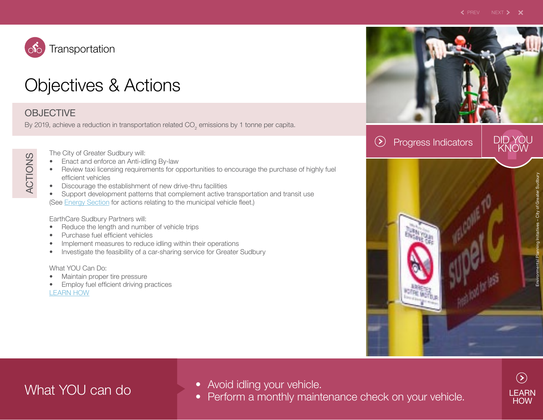

## Objectives & Actions

### **OBJECTIVE**

By 2019, achieve a reduction in transportation related CO<sub>2</sub> emissions by 1 tonne per capita.

ACTIONS ACTIONS

The City of Greater Sudbury will:

- Enact and enforce an Anti-idling By-law
- Review taxi licensing requirements for opportunities to encourage the purchase of highly fuel efficient vehicles
- Discourage the establishment of new drive-thru facilities
- Support development patterns that complement active transportation and transit use (See Energy Section for actions relating to the municipal vehicle fleet.)

EarthCare Sudbury Partners will:

- Reduce the length and number of vehicle trips
- Purchase fuel efficient vehicles
- Implement measures to reduce idling within their operations
- Investigate the feasibility of a car-sharing service for Greater Sudbury

What YOU Can Do:

- Maintain proper tire pressure
- Employ fuel efficient driving practices [LEARN HOW](http://www.city.greatersudbury.on.ca/cms/index.cfm?app=div_earthcare&lang=en&currid=916&parid=912)

> 12% of the local labour force biked, walked or took public transit to work in 2006.TR3

Progress Indicators  $(\geq)$ 



- 
- Avoid idling your vehicle. What YOU can do Perform a monthly maintenance check on your vehicle.

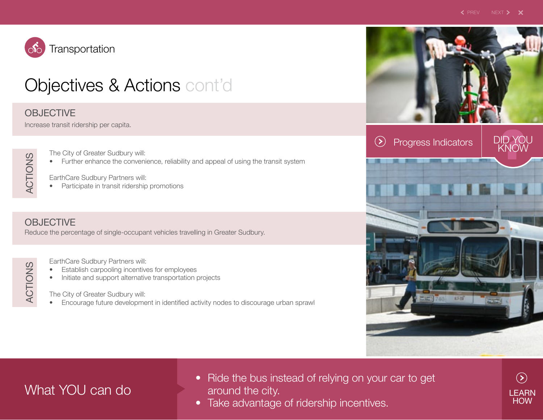

# Objectives & Actions cont'd

### **OBJECTIVE**

Increase transit ridership per capita.

ACTIONS ACTIONS

ACTIONS

ACTIONS

The City of Greater Sudbury will:

• Further enhance the convenience, reliability and appeal of using the transit system

EarthCare Sudbury Partners will:

• Participate in transit ridership promotions

### **OBJECTIVE**

Reduce the percentage of single-occupant vehicles travelling in Greater Sudbury.

EarthCare Sudbury Partners will:

- Establish carpooling incentives for employees
- Initiate and support alternative transportation projects

The City of Greater Sudbury will:

• Encourage future development in identified activity nodes to discourage urban sprawl

69% of residents primarily  $\blacktriangleright$ travel by single occupant vehicle (2003).TR4



## What YOU can do

- Ride the bus instead of relying on your car to get around the city.
- Take advantage of ridership incentives.

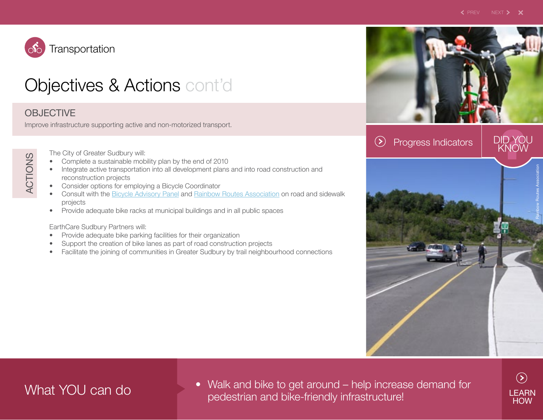DID YOU



# **Objectives & Actions cont'dent**

### **OBJECTIVE**

Improve infrastructure supporting active and non-motorized transport.

The City of Greater Sudbury will:

- Complete a sustainable mobility plan by the end of 2010
- Integrate active transportation into all development plans and into road construction and reconstruction projects
- Consider options for employing a Bicycle Coordinator
- Consult with the [Bicycle Advisory Panel](http://communities.mysudbury.ca/Sites/BAP/default.aspx) and [Rainbow Routes Association](http://www.rainbowroutes.com/) on road and sidewalk projects
- Provide adequate bike racks at municipal buildings and in all public spaces

### EarthCare Sudbury Partners will:

- Provide adequate bike parking facilities for their organization
- Support the creation of bike lanes as part of road construction projects
- Facilitate the joining of communities in Greater Sudbury by trail neighbourhood connections

Per capita passenger  $\blacktriangleright$ trips on Greater Sudbury Transit in 2007: 32.TR5

Progress Indicators  $(\geq)$ 



• Walk and bike to get around – help increase demand for What YOU can do pedestrian and bike-friendly infrastructure!

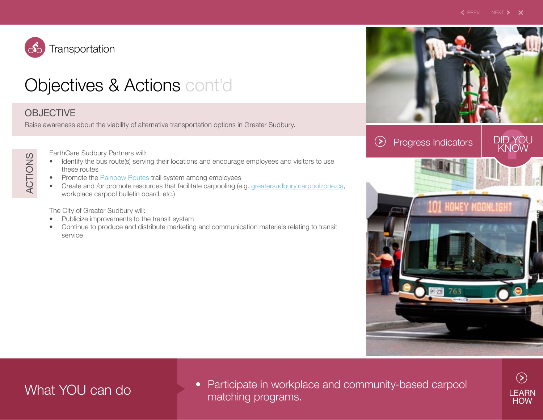DID YOU



## **Objectives & Actions cont'dent**

### **OBJECTIVE**

Raise awareness about the viability of alternative transportation options in Greater Sudbury.

ACTIONS ACTIONS

EarthCare Sudbury Partners will:

- Identify the bus route(s) serving their locations and encourage employees and visitors to use these routes
- Promote the [Rainbow Routes](http://www.rainbowroutes.com) trail system among employees
- Create and /or promote resources that facilitate carpooling (e.g. [greatersudbury.carpoolzone.ca](http://greatersudbury.carpoolzone.ca), workplace carpool bulletin board, etc.)

The City of Greater Sudbury will:

- Publicize improvements to the transit system
- Continue to produce and distribute marketing and communication materials relating to transit service

Greater Sudbury's official trail system covers 182 km (including x-country ski trails).<sup>TR6</sup>

Progress Indicators  $(\mathbf{z})$ 



• Participate in workplace and community-based carpool What YOU can do matching programs.